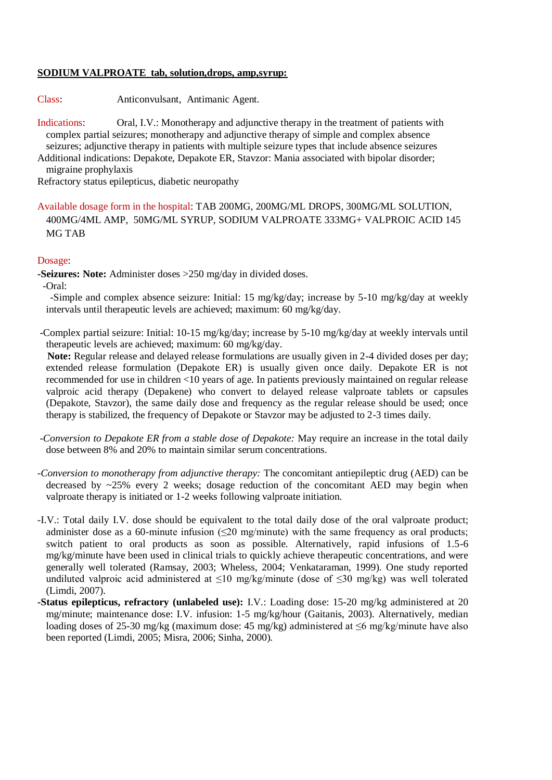### **SODIUM VALPROATE tab, solution,drops, amp,syrup:**

Class: Anticonvulsant, Antimanic Agent.

Indications: Oral, I.V.: Monotherapy and adjunctive therapy in the treatment of patients with complex partial seizures; monotherapy and adjunctive therapy of simple and complex absence seizures; adjunctive therapy in patients with multiple seizure types that include absence seizures Additional indications: Depakote, Depakote ER, Stavzor: Mania associated with bipolar disorder;

migraine prophylaxis

Refractory status epilepticus, diabetic neuropathy

Available dosage form in the hospital: TAB 200MG, 200MG/ML DROPS, 300MG/ML SOLUTION, 400MG/4ML AMP, 50MG/ML SYRUP, SODIUM VALPROATE 333MG+ VALPROIC ACID 145 MG TAB

#### Dosage:

**-Seizures: Note:** Administer doses >250 mg/day in divided doses.

-Oral:

 -Simple and complex absence seizure: Initial: 15 mg/kg/day; increase by 5-10 mg/kg/day at weekly intervals until therapeutic levels are achieved; maximum: 60 mg/kg/day.

-Complex partial seizure: Initial: 10-15 mg/kg/day; increase by 5-10 mg/kg/day at weekly intervals until therapeutic levels are achieved; maximum: 60 mg/kg/day.

 **Note:** Regular release and delayed release formulations are usually given in 2-4 divided doses per day; extended release formulation (Depakote ER) is usually given once daily. Depakote ER is not recommended for use in children <10 years of age. In patients previously maintained on regular release valproic acid therapy (Depakene) who convert to delayed release valproate tablets or capsules (Depakote, Stavzor), the same daily dose and frequency as the regular release should be used; once therapy is stabilized, the frequency of Depakote or Stavzor may be adjusted to 2-3 times daily.

*-Conversion to Depakote ER from a stable dose of Depakote:* May require an increase in the total daily dose between 8% and 20% to maintain similar serum concentrations.

- *-Conversion to monotherapy from adjunctive therapy:* The concomitant antiepileptic drug (AED) can be decreased by  $\sim$ 25% every 2 weeks; dosage reduction of the concomitant AED may begin when valproate therapy is initiated or 1-2 weeks following valproate initiation.
- -I.V.: Total daily I.V. dose should be equivalent to the total daily dose of the oral valproate product; administer dose as a 60-minute infusion ( $\leq$ 20 mg/minute) with the same frequency as oral products; switch patient to oral products as soon as possible. Alternatively, rapid infusions of 1.5-6 mg/kg/minute have been used in clinical trials to quickly achieve therapeutic concentrations, and were generally well tolerated (Ramsay, 2003; Wheless, 2004; Venkataraman, 1999). One study reported undiluted valproic acid administered at ≤10 mg/kg/minute (dose of ≤30 mg/kg) was well tolerated (Limdi, 2007).
- **-Status epilepticus, refractory (unlabeled use):** I.V.: Loading dose: 15-20 mg/kg administered at 20 mg/minute; maintenance dose: I.V. infusion: 1-5 mg/kg/hour (Gaitanis, 2003). Alternatively, median loading doses of 25-30 mg/kg (maximum dose: 45 mg/kg) administered at ≤6 mg/kg/minute have also been reported (Limdi, 2005; Misra, 2006; Sinha, 2000).